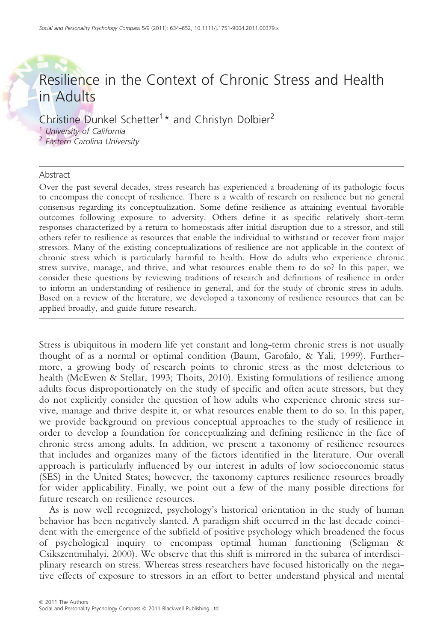# Resilience in the Context of Chronic Stress and Health in Adults

Christine Dunkel Schetter<sup>1</sup>\* and Christyn Dolbier<sup>2</sup>

<sup>1</sup> University of California

<sup>2</sup> Eastern Carolina University

### Abstract

Over the past several decades, stress research has experienced a broadening of its pathologic focus to encompass the concept of resilience. There is a wealth of research on resilience but no general consensus regarding its conceptualization. Some define resilience as attaining eventual favorable outcomes following exposure to adversity. Others define it as specific relatively short-term responses characterized by a return to homeostasis after initial disruption due to a stressor, and still others refer to resilience as resources that enable the individual to withstand or recover from major stressors. Many of the existing conceptualizations of resilience are not applicable in the context of chronic stress which is particularly harmful to health. How do adults who experience chronic stress survive, manage, and thrive, and what resources enable them to do so? In this paper, we consider these questions by reviewing traditions of research and definitions of resilience in order to inform an understanding of resilience in general, and for the study of chronic stress in adults. Based on a review of the literature, we developed a taxonomy of resilience resources that can be applied broadly, and guide future research.

Stress is ubiquitous in modern life yet constant and long-term chronic stress is not usually thought of as a normal or optimal condition (Baum, Garofalo, & Yali, 1999). Furthermore, a growing body of research points to chronic stress as the most deleterious to health (McEwen & Stellar, 1993; Thoits, 2010). Existing formulations of resilience among adults focus disproportionately on the study of specific and often acute stressors, but they do not explicitly consider the question of how adults who experience chronic stress survive, manage and thrive despite it, or what resources enable them to do so. In this paper, we provide background on previous conceptual approaches to the study of resilience in order to develop a foundation for conceptualizing and defining resilience in the face of chronic stress among adults. In addition, we present a taxonomy of resilience resources that includes and organizes many of the factors identified in the literature. Our overall approach is particularly influenced by our interest in adults of low socioeconomic status (SES) in the United States; however, the taxonomy captures resilience resources broadly for wider applicability. Finally, we point out a few of the many possible directions for future research on resilience resources.

As is now well recognized, psychology's historical orientation in the study of human behavior has been negatively slanted. A paradigm shift occurred in the last decade coincident with the emergence of the subfield of positive psychology which broadened the focus of psychological inquiry to encompass optimal human functioning (Seligman & Csikszentmihalyi, 2000). We observe that this shift is mirrored in the subarea of interdisciplinary research on stress. Whereas stress researchers have focused historically on the negative effects of exposure to stressors in an effort to better understand physical and mental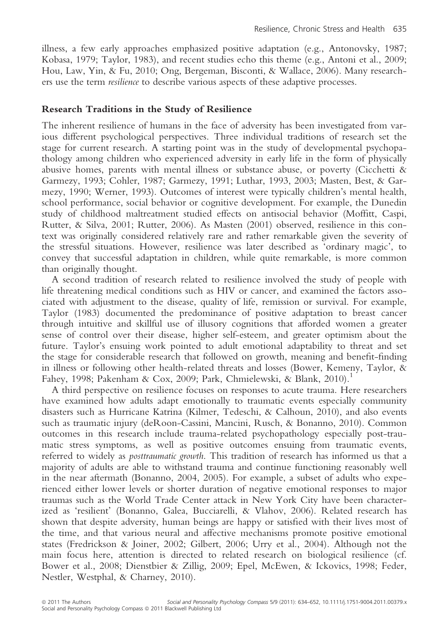illness, a few early approaches emphasized positive adaptation (e.g., Antonovsky, 1987; Kobasa, 1979; Taylor, 1983), and recent studies echo this theme (e.g., Antoni et al., 2009; Hou, Law, Yin, & Fu, 2010; Ong, Bergeman, Bisconti, & Wallace, 2006). Many researchers use the term resilience to describe various aspects of these adaptive processes.

### Research Traditions in the Study of Resilience

The inherent resilience of humans in the face of adversity has been investigated from various different psychological perspectives. Three individual traditions of research set the stage for current research. A starting point was in the study of developmental psychopathology among children who experienced adversity in early life in the form of physically abusive homes, parents with mental illness or substance abuse, or poverty (Cicchetti & Garmezy, 1993; Cohler, 1987; Garmezy, 1991; Luthar, 1993, 2003; Masten, Best, & Garmezy, 1990; Werner, 1993). Outcomes of interest were typically children's mental health, school performance, social behavior or cognitive development. For example, the Dunedin study of childhood maltreatment studied effects on antisocial behavior (Moffitt, Caspi, Rutter, & Silva, 2001; Rutter, 2006). As Masten (2001) observed, resilience in this context was originally considered relatively rare and rather remarkable given the severity of the stressful situations. However, resilience was later described as 'ordinary magic', to convey that successful adaptation in children, while quite remarkable, is more common than originally thought.

A second tradition of research related to resilience involved the study of people with life threatening medical conditions such as HIV or cancer, and examined the factors associated with adjustment to the disease, quality of life, remission or survival. For example, Taylor (1983) documented the predominance of positive adaptation to breast cancer through intuitive and skillful use of illusory cognitions that afforded women a greater sense of control over their disease, higher self-esteem, and greater optimism about the future. Taylor's ensuing work pointed to adult emotional adaptability to threat and set the stage for considerable research that followed on growth, meaning and benefit-finding in illness or following other health-related threats and losses (Bower, Kemeny, Taylor, & Fahey, 1998; Pakenham & Cox, 2009; Park, Chmielewski, & Blank,  $2010$ .

A third perspective on resilience focuses on responses to acute trauma. Here researchers have examined how adults adapt emotionally to traumatic events especially community disasters such as Hurricane Katrina (Kilmer, Tedeschi, & Calhoun, 2010), and also events such as traumatic injury (deRoon-Cassini, Mancini, Rusch, & Bonanno, 2010). Common outcomes in this research include trauma-related psychopathology especially post-traumatic stress symptoms, as well as positive outcomes ensuing from traumatic events, referred to widely as posttraumatic growth. This tradition of research has informed us that a majority of adults are able to withstand trauma and continue functioning reasonably well in the near aftermath (Bonanno, 2004, 2005). For example, a subset of adults who experienced either lower levels or shorter duration of negative emotional responses to major traumas such as the World Trade Center attack in New York City have been characterized as 'resilient' (Bonanno, Galea, Bucciarelli, & Vlahov, 2006). Related research has shown that despite adversity, human beings are happy or satisfied with their lives most of the time, and that various neural and affective mechanisms promote positive emotional states (Fredrickson & Joiner, 2002; Gilbert, 2006; Urry et al., 2004). Although not the main focus here, attention is directed to related research on biological resilience (cf. Bower et al., 2008; Dienstbier & Zillig, 2009; Epel, McEwen, & Ickovics, 1998; Feder, Nestler, Westphal, & Charney, 2010).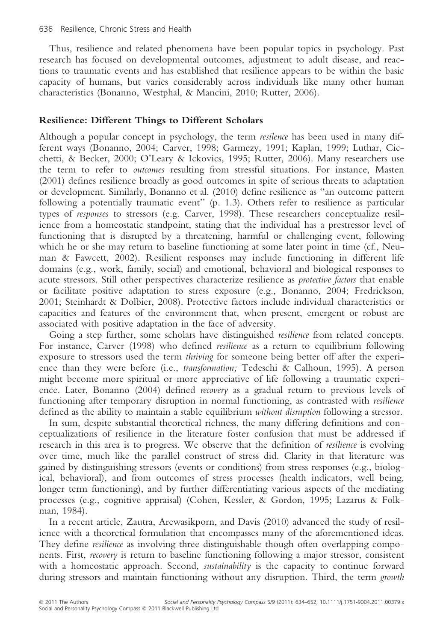Thus, resilience and related phenomena have been popular topics in psychology. Past research has focused on developmental outcomes, adjustment to adult disease, and reactions to traumatic events and has established that resilience appears to be within the basic capacity of humans, but varies considerably across individuals like many other human characteristics (Bonanno, Westphal, & Mancini, 2010; Rutter, 2006).

# Resilience: Different Things to Different Scholars

Although a popular concept in psychology, the term resilence has been used in many different ways (Bonanno, 2004; Carver, 1998; Garmezy, 1991; Kaplan, 1999; Luthar, Cicchetti, & Becker, 2000; O'Leary & Ickovics, 1995; Rutter, 2006). Many researchers use the term to refer to outcomes resulting from stressful situations. For instance, Masten (2001) defines resilience broadly as good outcomes in spite of serious threats to adaptation or development. Similarly, Bonanno et al. (2010) define resilience as ''an outcome pattern following a potentially traumatic event'' (p. 1.3). Others refer to resilience as particular types of responses to stressors (e.g. Carver, 1998). These researchers conceptualize resilience from a homeostatic standpoint, stating that the individual has a prestressor level of functioning that is disrupted by a threatening, harmful or challenging event, following which he or she may return to baseline functioning at some later point in time (cf., Neuman & Fawcett, 2002). Resilient responses may include functioning in different life domains (e.g., work, family, social) and emotional, behavioral and biological responses to acute stressors. Still other perspectives characterize resilience as protective factors that enable or facilitate positive adaptation to stress exposure (e.g., Bonanno, 2004; Fredrickson, 2001; Steinhardt & Dolbier, 2008). Protective factors include individual characteristics or capacities and features of the environment that, when present, emergent or robust are associated with positive adaptation in the face of adversity.

Going a step further, some scholars have distinguished resilience from related concepts. For instance, Carver (1998) who defined resilience as a return to equilibrium following exposure to stressors used the term *thriving* for someone being better off after the experience than they were before (i.e., transformation; Tedeschi & Calhoun, 1995). A person might become more spiritual or more appreciative of life following a traumatic experience. Later, Bonanno (2004) defined recovery as a gradual return to previous levels of functioning after temporary disruption in normal functioning, as contrasted with resilience defined as the ability to maintain a stable equilibrium without disruption following a stressor.

In sum, despite substantial theoretical richness, the many differing definitions and conceptualizations of resilience in the literature foster confusion that must be addressed if research in this area is to progress. We observe that the definition of *resilience* is evolving over time, much like the parallel construct of stress did. Clarity in that literature was gained by distinguishing stressors (events or conditions) from stress responses (e.g., biological, behavioral), and from outcomes of stress processes (health indicators, well being, longer term functioning), and by further differentiating various aspects of the mediating processes (e.g., cognitive appraisal) (Cohen, Kessler, & Gordon, 1995; Lazarus & Folkman, 1984).

In a recent article, Zautra, Arewasikporn, and Davis (2010) advanced the study of resilience with a theoretical formulation that encompasses many of the aforementioned ideas. They define *resilience* as involving three distinguishable though often overlapping components. First, recovery is return to baseline functioning following a major stressor, consistent with a homeostatic approach. Second, *sustainability* is the capacity to continue forward during stressors and maintain functioning without any disruption. Third, the term *growth*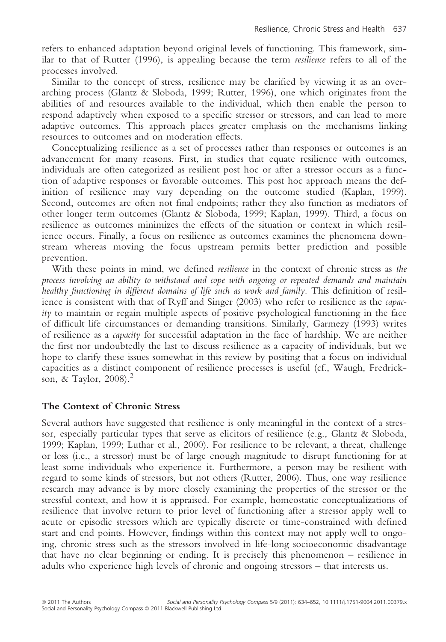refers to enhanced adaptation beyond original levels of functioning. This framework, similar to that of Rutter (1996), is appealing because the term resilience refers to all of the processes involved.

Similar to the concept of stress, resilience may be clarified by viewing it as an overarching process (Glantz & Sloboda, 1999; Rutter, 1996), one which originates from the abilities of and resources available to the individual, which then enable the person to respond adaptively when exposed to a specific stressor or stressors, and can lead to more adaptive outcomes. This approach places greater emphasis on the mechanisms linking resources to outcomes and on moderation effects.

Conceptualizing resilience as a set of processes rather than responses or outcomes is an advancement for many reasons. First, in studies that equate resilience with outcomes, individuals are often categorized as resilient post hoc or after a stressor occurs as a function of adaptive responses or favorable outcomes. This post hoc approach means the definition of resilience may vary depending on the outcome studied (Kaplan, 1999). Second, outcomes are often not final endpoints; rather they also function as mediators of other longer term outcomes (Glantz & Sloboda, 1999; Kaplan, 1999). Third, a focus on resilience as outcomes minimizes the effects of the situation or context in which resilience occurs. Finally, a focus on resilience as outcomes examines the phenomena downstream whereas moving the focus upstream permits better prediction and possible prevention.

With these points in mind, we defined *resilience* in the context of chronic stress as the process involving an ability to withstand and cope with ongoing or repeated demands and maintain healthy functioning in different domains of life such as work and family. This definition of resilience is consistent with that of Ryff and Singer (2003) who refer to resilience as the *capac*ity to maintain or regain multiple aspects of positive psychological functioning in the face of difficult life circumstances or demanding transitions. Similarly, Garmezy (1993) writes of resilience as a capacity for successful adaptation in the face of hardship. We are neither the first nor undoubtedly the last to discuss resilience as a capacity of individuals, but we hope to clarify these issues somewhat in this review by positing that a focus on individual capacities as a distinct component of resilience processes is useful (cf., Waugh, Fredrickson, & Taylor,  $2008$ ).<sup>2</sup>

# The Context of Chronic Stress

Several authors have suggested that resilience is only meaningful in the context of a stressor, especially particular types that serve as elicitors of resilience (e.g., Glantz & Sloboda, 1999; Kaplan, 1999; Luthar et al., 2000). For resilience to be relevant, a threat, challenge or loss (i.e., a stressor) must be of large enough magnitude to disrupt functioning for at least some individuals who experience it. Furthermore, a person may be resilient with regard to some kinds of stressors, but not others (Rutter, 2006). Thus, one way resilience research may advance is by more closely examining the properties of the stressor or the stressful context, and how it is appraised. For example, homeostatic conceptualizations of resilience that involve return to prior level of functioning after a stressor apply well to acute or episodic stressors which are typically discrete or time-constrained with defined start and end points. However, findings within this context may not apply well to ongoing, chronic stress such as the stressors involved in life-long socioeconomic disadvantage that have no clear beginning or ending. It is precisely this phenomenon – resilience in adults who experience high levels of chronic and ongoing stressors – that interests us.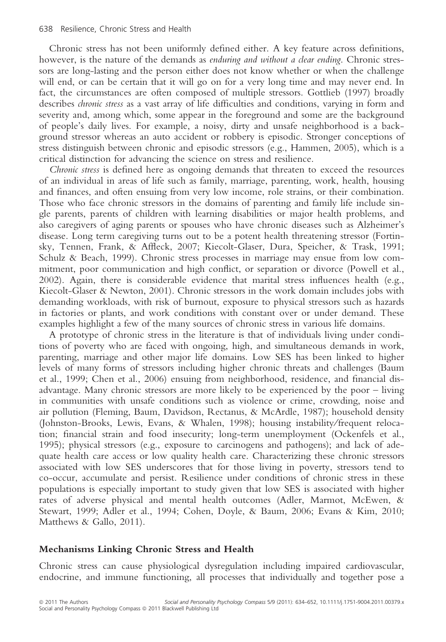Chronic stress has not been uniformly defined either. A key feature across definitions, however, is the nature of the demands as *enduring and without a clear ending*. Chronic stressors are long-lasting and the person either does not know whether or when the challenge will end, or can be certain that it will go on for a very long time and may never end. In fact, the circumstances are often composed of multiple stressors. Gottlieb (1997) broadly describes chronic stress as a vast array of life difficulties and conditions, varying in form and severity and, among which, some appear in the foreground and some are the background of people's daily lives. For example, a noisy, dirty and unsafe neighborhood is a background stressor whereas an auto accident or robbery is episodic. Stronger conceptions of stress distinguish between chronic and episodic stressors (e.g., Hammen, 2005), which is a critical distinction for advancing the science on stress and resilience.

Chronic stress is defined here as ongoing demands that threaten to exceed the resources of an individual in areas of life such as family, marriage, parenting, work, health, housing and finances, and often ensuing from very low income, role strains, or their combination. Those who face chronic stressors in the domains of parenting and family life include single parents, parents of children with learning disabilities or major health problems, and also caregivers of aging parents or spouses who have chronic diseases such as Alzheimer's disease. Long term caregiving turns out to be a potent health threatening stressor (Fortinsky, Tennen, Frank, & Affleck, 2007; Kiecolt-Glaser, Dura, Speicher, & Trask, 1991; Schulz & Beach, 1999). Chronic stress processes in marriage may ensue from low commitment, poor communication and high conflict, or separation or divorce (Powell et al., 2002). Again, there is considerable evidence that marital stress influences health (e.g., Kiecolt-Glaser & Newton, 2001). Chronic stressors in the work domain includes jobs with demanding workloads, with risk of burnout, exposure to physical stressors such as hazards in factories or plants, and work conditions with constant over or under demand. These examples highlight a few of the many sources of chronic stress in various life domains.

A prototype of chronic stress in the literature is that of individuals living under conditions of poverty who are faced with ongoing, high, and simultaneous demands in work, parenting, marriage and other major life domains. Low SES has been linked to higher levels of many forms of stressors including higher chronic threats and challenges (Baum et al., 1999; Chen et al., 2006) ensuing from neighborhood, residence, and financial disadvantage. Many chronic stressors are more likely to be experienced by the poor – living in communities with unsafe conditions such as violence or crime, crowding, noise and air pollution (Fleming, Baum, Davidson, Rectanus, & McArdle, 1987); household density (Johnston-Brooks, Lewis, Evans, & Whalen, 1998); housing instability ⁄frequent relocation; financial strain and food insecurity; long-term unemployment (Ockenfels et al., 1995); physical stressors (e.g., exposure to carcinogens and pathogens); and lack of adequate health care access or low quality health care. Characterizing these chronic stressors associated with low SES underscores that for those living in poverty, stressors tend to co-occur, accumulate and persist. Resilience under conditions of chronic stress in these populations is especially important to study given that low SES is associated with higher rates of adverse physical and mental health outcomes (Adler, Marmot, McEwen, & Stewart, 1999; Adler et al., 1994; Cohen, Doyle, & Baum, 2006; Evans & Kim, 2010; Matthews & Gallo, 2011).

# Mechanisms Linking Chronic Stress and Health

Chronic stress can cause physiological dysregulation including impaired cardiovascular, endocrine, and immune functioning, all processes that individually and together pose a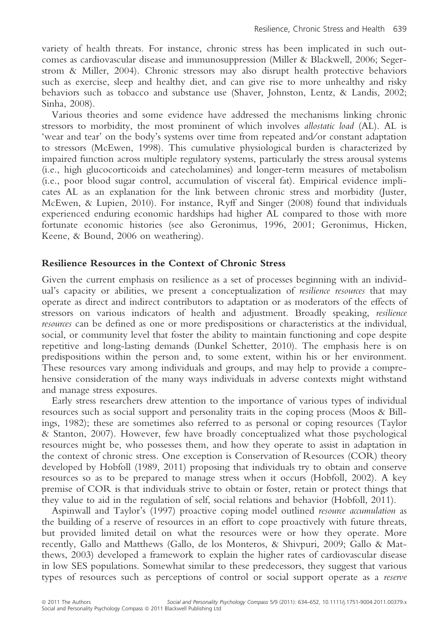variety of health threats. For instance, chronic stress has been implicated in such outcomes as cardiovascular disease and immunosuppression (Miller & Blackwell, 2006; Segerstrom & Miller, 2004). Chronic stressors may also disrupt health protective behaviors such as exercise, sleep and healthy diet, and can give rise to more unhealthy and risky behaviors such as tobacco and substance use (Shaver, Johnston, Lentz, & Landis, 2002; Sinha, 2008).

Various theories and some evidence have addressed the mechanisms linking chronic stressors to morbidity, the most prominent of which involves allostatic load (AL). AL is 'wear and tear' on the body's systems over time from repeated and ⁄or constant adaptation to stressors (McEwen, 1998). This cumulative physiological burden is characterized by impaired function across multiple regulatory systems, particularly the stress arousal systems (i.e., high glucocorticoids and catecholamines) and longer-term measures of metabolism (i.e., poor blood sugar control, accumulation of visceral fat). Empirical evidence implicates AL as an explanation for the link between chronic stress and morbidity (Juster, McEwen, & Lupien, 2010). For instance, Ryff and Singer (2008) found that individuals experienced enduring economic hardships had higher AL compared to those with more fortunate economic histories (see also Geronimus, 1996, 2001; Geronimus, Hicken, Keene, & Bound, 2006 on weathering).

### Resilience Resources in the Context of Chronic Stress

Given the current emphasis on resilience as a set of processes beginning with an individual's capacity or abilities, we present a conceptualization of resilience resources that may operate as direct and indirect contributors to adaptation or as moderators of the effects of stressors on various indicators of health and adjustment. Broadly speaking, resilience resources can be defined as one or more predispositions or characteristics at the individual, social, or community level that foster the ability to maintain functioning and cope despite repetitive and long-lasting demands (Dunkel Schetter, 2010). The emphasis here is on predispositions within the person and, to some extent, within his or her environment. These resources vary among individuals and groups, and may help to provide a comprehensive consideration of the many ways individuals in adverse contexts might withstand and manage stress exposures.

Early stress researchers drew attention to the importance of various types of individual resources such as social support and personality traits in the coping process (Moos & Billings, 1982); these are sometimes also referred to as personal or coping resources (Taylor & Stanton, 2007). However, few have broadly conceptualized what those psychological resources might be, who possesses them, and how they operate to assist in adaptation in the context of chronic stress. One exception is Conservation of Resources (COR) theory developed by Hobfoll (1989, 2011) proposing that individuals try to obtain and conserve resources so as to be prepared to manage stress when it occurs (Hobfoll, 2002). A key premise of COR is that individuals strive to obtain or foster, retain or protect things that they value to aid in the regulation of self, social relations and behavior (Hobfoll, 2011).

Aspinwall and Taylor's (1997) proactive coping model outlined resource accumulation as the building of a reserve of resources in an effort to cope proactively with future threats, but provided limited detail on what the resources were or how they operate. More recently, Gallo and Matthews (Gallo, de los Monteros, & Shivpuri, 2009; Gallo & Matthews, 2003) developed a framework to explain the higher rates of cardiovascular disease in low SES populations. Somewhat similar to these predecessors, they suggest that various types of resources such as perceptions of control or social support operate as a reserve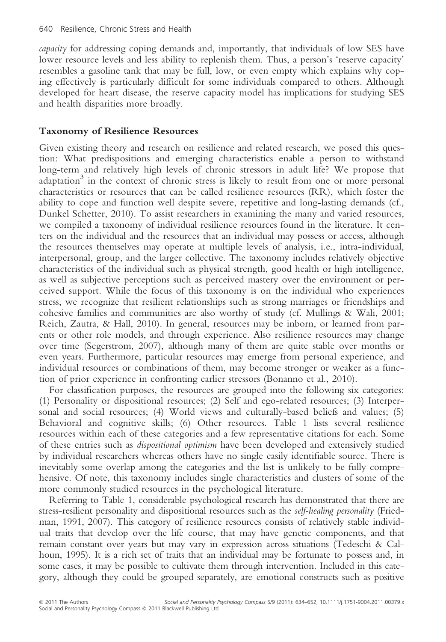capacity for addressing coping demands and, importantly, that individuals of low SES have lower resource levels and less ability to replenish them. Thus, a person's 'reserve capacity' resembles a gasoline tank that may be full, low, or even empty which explains why coping effectively is particularly difficult for some individuals compared to others. Although developed for heart disease, the reserve capacity model has implications for studying SES and health disparities more broadly.

### Taxonomy of Resilience Resources

Given existing theory and research on resilience and related research, we posed this question: What predispositions and emerging characteristics enable a person to withstand long-term and relatively high levels of chronic stressors in adult life? We propose that adaptation<sup>3</sup> in the context of chronic stress is likely to result from one or more personal characteristics or resources that can be called resilience resources (RR), which foster the ability to cope and function well despite severe, repetitive and long-lasting demands (cf., Dunkel Schetter, 2010). To assist researchers in examining the many and varied resources, we compiled a taxonomy of individual resilience resources found in the literature. It centers on the individual and the resources that an individual may possess or access, although the resources themselves may operate at multiple levels of analysis, i.e., intra-individual, interpersonal, group, and the larger collective. The taxonomy includes relatively objective characteristics of the individual such as physical strength, good health or high intelligence, as well as subjective perceptions such as perceived mastery over the environment or perceived support. While the focus of this taxonomy is on the individual who experiences stress, we recognize that resilient relationships such as strong marriages or friendships and cohesive families and communities are also worthy of study (cf. Mullings & Wali, 2001; Reich, Zautra, & Hall, 2010). In general, resources may be inborn, or learned from parents or other role models, and through experience. Also resilience resources may change over time (Segerstrom, 2007), although many of them are quite stable over months or even years. Furthermore, particular resources may emerge from personal experience, and individual resources or combinations of them, may become stronger or weaker as a function of prior experience in confronting earlier stressors (Bonanno et al., 2010).

For classification purposes, the resources are grouped into the following six categories: (1) Personality or dispositional resources; (2) Self and ego-related resources; (3) Interpersonal and social resources; (4) World views and culturally-based beliefs and values; (5) Behavioral and cognitive skills; (6) Other resources. Table 1 lists several resilience resources within each of these categories and a few representative citations for each. Some of these entries such as dispositional optimism have been developed and extensively studied by individual researchers whereas others have no single easily identifiable source. There is inevitably some overlap among the categories and the list is unlikely to be fully comprehensive. Of note, this taxonomy includes single characteristics and clusters of some of the more commonly studied resources in the psychological literature.

Referring to Table 1, considerable psychological research has demonstrated that there are stress-resilient personality and dispositional resources such as the self-healing personality (Friedman, 1991, 2007). This category of resilience resources consists of relatively stable individual traits that develop over the life course, that may have genetic components, and that remain constant over years but may vary in expression across situations (Tedeschi & Calhoun, 1995). It is a rich set of traits that an individual may be fortunate to possess and, in some cases, it may be possible to cultivate them through intervention. Included in this category, although they could be grouped separately, are emotional constructs such as positive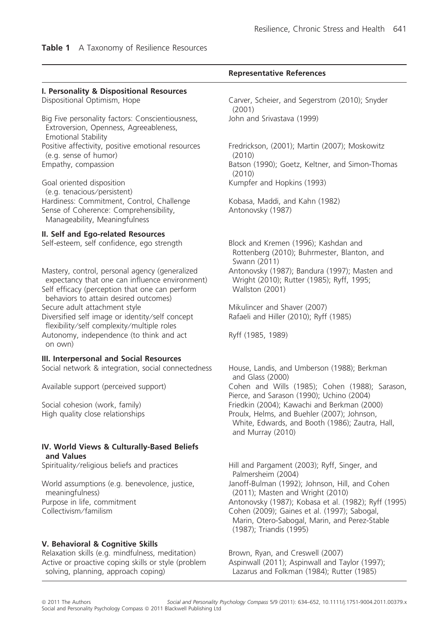# **I. Personality & Dispositional Resources**<br>Dispositional Optimism, Hope

Big Five personality factors: Conscientiousness, Extroversion, Openness, Agreeableness, Emotional Stability Positive affectivity, positive emotional resources (e.g. sense of humor)<br>Empathy, compassion

Goal oriented disposition (e.g. tenacious⁄ persistent) Hardiness: Commitment, Control, Challenge Kobasa, Maddi, and Kahn (1982) Sense of Coherence: Comprehensibility, Manageability, Meaningfulness

#### II. Self and Ego-related Resources

Self-esteem, self confidence, ego strength Block and Kremen (1996); Kashdan and

Mastery, control, personal agency (generalized expectancy that one can influence environment) Self efficacy (perception that one can perform behaviors to attain desired outcomes) Secure adult attachment style Mikulincer and Shaver (2007) Diversified self image or identity/self concept flexibility/self complexity/multiple roles Autonomy, independence (to think and act on own)

### III. Interpersonal and Social Resources

# IV. World Views & Culturally-Based Beliefs and Values<br>Spirituality/religious beliefs and practices

World assumptions (e.g. benevolence, justice, meaningfulness)<br>Purpose in life, commitment

### V. Behavioral & Cognitive Skills

Relaxation skills (e.g. mindfulness, meditation) Brown, Ryan, and Creswell (2007) Active or proactive coping skills or style (problem solving, planning, approach coping)

### Representative References

Carver, Scheier, and Segerstrom (2010); Snyder (2001) John and Srivastava (1999)

Fredrickson, (2001); Martin (2007); Moskowitz (2010) Batson (1990); Goetz, Keltner, and Simon-Thomas  $(2010)$ Kumpfer and Hopkins (1993)

Antonovsky (1987)

Rottenberg (2010); Buhrmester, Blanton, and Swann (2011) Antonovsky (1987); Bandura (1997); Masten and Wright (2010); Rutter (1985); Ryff, 1995; Wallston (2001)

Rafaeli and Hiller (2010); Ryff (1985)

Ryff (1985, 1989)

Social network & integration, social connectedness House, Landis, and Umberson (1988); Berkman and Glass (2000) Available support (perceived support) Cohen and Wills (1985); Cohen (1988); Sarason, Pierce, and Sarason (1990); Uchino (2004) Social cohesion (work, family) Friedkin (2004); Kawachi and Berkman (2000) High quality close relationships **Proulx, Helms, and Buehler (2007)**; Johnson, White, Edwards, and Booth (1986); Zautra, Hall, and Murray (2010)

Hill and Pargament (2003); Ryff, Singer, and Palmersheim (2004) Janoff-Bulman (1992); Johnson, Hill, and Cohen (2011); Masten and Wright (2010) Purpose in life, commitment <br>
Collectivism/familism<br>
Collectivism/familism<br>
Collectivism/familism<br>
Purpose in life, commitment and the Antonious Collectivism (1997); Sabogal Cohen (2009); Gaines et al. (1997); Sabogal, Marin, Otero-Sabogal, Marin, and Perez-Stable (1987); Triandis (1995)

> Aspinwall (2011); Aspinwall and Taylor (1997); Lazarus and Folkman (1984); Rutter (1985)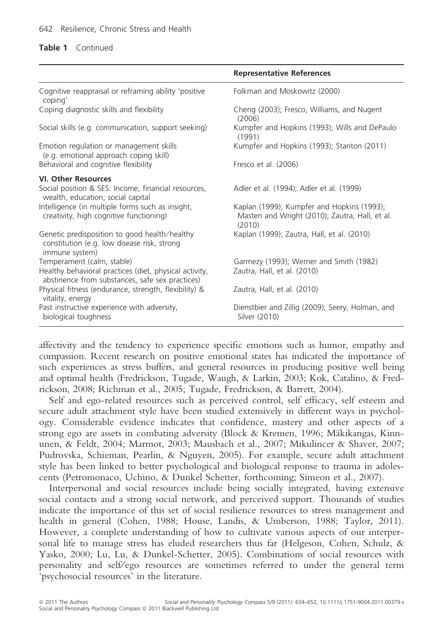### Table 1 Continued

|                                                                                                                | <b>Representative References</b>                                                                       |
|----------------------------------------------------------------------------------------------------------------|--------------------------------------------------------------------------------------------------------|
| Cognitive reappraisal or reframing ability 'positive<br>coping'                                                | Folkman and Moskowitz (2000)                                                                           |
| Coping diagnostic skills and flexibility                                                                       | Cheng (2003); Fresco, Williams, and Nugent<br>(2006)                                                   |
| Social skills (e.g. communication, support seeking)                                                            | Kumpfer and Hopkins (1993); Wills and DePaulo<br>(1991)                                                |
| Emotion regulation or management skills<br>(e.g. emotional approach coping skill)                              | Kumpfer and Hopkins (1993); Stanton (2011)                                                             |
| Behavioral and cognitive flexibility                                                                           | Fresco et al. (2006)                                                                                   |
| <b>VI. Other Resources</b>                                                                                     |                                                                                                        |
| Social position & SES: Income, financial resources,<br>wealth, education; social capital                       | Adler et al. (1994); Adler et al. (1999)                                                               |
| Intelligence (in multiple forms such as insight,<br>creativity, high cognitive functioning)                    | Kaplan (1999); Kumpfer and Hopkins (1993);<br>Masten and Wright (2010); Zautra, Hall, et al.<br>(2010) |
| Genetic predisposition to good health/healthy<br>constitution (e.g. low disease risk, strong<br>immune system) | Kaplan (1999); Zautra, Hall, et al. (2010)                                                             |
| Temperament (calm, stable)                                                                                     | Garmezy (1993); Werner and Smith (1982)                                                                |
| Healthy behavioral practices (diet, physical activity,<br>abstinence from substances, safe sex practices)      | Zautra, Hall, et al. (2010)                                                                            |
| Physical fitness (endurance, strength, flexibility) &<br>vitality, energy                                      | Zautra, Hall, et al. (2010)                                                                            |
| Past instructive experience with adversity,<br>biological toughness                                            | Dienstbier and Zillig (2009); Seery, Holman, and<br>Silver (2010)                                      |

affectivity and the tendency to experience specific emotions such as humor, empathy and compassion. Recent research on positive emotional states has indicated the importance of such experiences as stress buffers, and general resources in producing positive well being and optimal health (Fredrickson, Tugade, Waugh, & Larkin, 2003; Kok, Catalino, & Fredrickson, 2008; Richman et al., 2005; Tugade, Fredrickson, & Barrett, 2004).

Self and ego-related resources such as perceived control, self efficacy, self esteem and secure adult attachment style have been studied extensively in different ways in psychology. Considerable evidence indicates that confidence, mastery and other aspects of a strong ego are assets in combating adversity (Block & Kremen, 1996; Mäkikangas, Kinnunen, & Feldt, 2004; Marmot, 2003; Mausbach et al., 2007; Mikulincer & Shaver, 2007; Pudrovska, Schieman, Pearlin, & Nguyen, 2005). For example, secure adult attachment style has been linked to better psychological and biological response to trauma in adolescents (Petromonaco, Uchino, & Dunkel Schetter, forthcoming; Simeon et al., 2007).

Interpersonal and social resources include being socially integrated, having extensive social contacts and a strong social network, and perceived support. Thousands of studies indicate the importance of this set of social resilience resources to stress management and health in general (Cohen, 1988; House, Landis, & Umberson, 1988; Taylor, 2011). However, a complete understanding of how to cultivate various aspects of our interpersonal life to manage stress has eluded researchers thus far (Helgeson, Cohen, Schulz, & Yasko, 2000; Lu, Lu, & Dunkel-Schetter, 2005). Combinations of social resources with personality and self⁄ ego resources are sometimes referred to under the general term 'psychosocial resources' in the literature.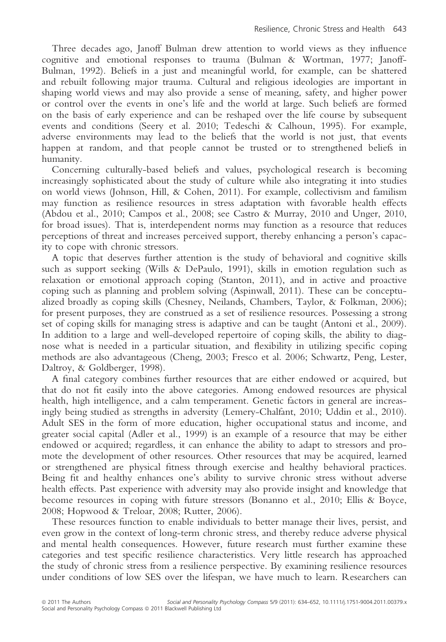Three decades ago, Janoff Bulman drew attention to world views as they influence cognitive and emotional responses to trauma (Bulman & Wortman, 1977; Janoff-Bulman, 1992). Beliefs in a just and meaningful world, for example, can be shattered and rebuilt following major trauma. Cultural and religious ideologies are important in shaping world views and may also provide a sense of meaning, safety, and higher power or control over the events in one's life and the world at large. Such beliefs are formed on the basis of early experience and can be reshaped over the life course by subsequent events and conditions (Seery et al. 2010; Tedeschi & Calhoun, 1995). For example, adverse environments may lead to the beliefs that the world is not just, that events happen at random, and that people cannot be trusted or to strengthened beliefs in humanity.

Concerning culturally-based beliefs and values, psychological research is becoming increasingly sophisticated about the study of culture while also integrating it into studies on world views (Johnson, Hill, & Cohen, 2011). For example, collectivism and familism may function as resilience resources in stress adaptation with favorable health effects (Abdou et al., 2010; Campos et al., 2008; see Castro & Murray, 2010 and Unger, 2010, for broad issues). That is, interdependent norms may function as a resource that reduces perceptions of threat and increases perceived support, thereby enhancing a person's capacity to cope with chronic stressors.

A topic that deserves further attention is the study of behavioral and cognitive skills such as support seeking (Wills & DePaulo, 1991), skills in emotion regulation such as relaxation or emotional approach coping (Stanton, 2011), and in active and proactive coping such as planning and problem solving (Aspinwall, 2011). These can be conceptualized broadly as coping skills (Chesney, Neilands, Chambers, Taylor, & Folkman, 2006); for present purposes, they are construed as a set of resilience resources. Possessing a strong set of coping skills for managing stress is adaptive and can be taught (Antoni et al., 2009). In addition to a large and well-developed repertoire of coping skills, the ability to diagnose what is needed in a particular situation, and flexibility in utilizing specific coping methods are also advantageous (Cheng, 2003; Fresco et al. 2006; Schwartz, Peng, Lester, Daltroy, & Goldberger, 1998).

A final category combines further resources that are either endowed or acquired, but that do not fit easily into the above categories. Among endowed resources are physical health, high intelligence, and a calm temperament. Genetic factors in general are increasingly being studied as strengths in adversity (Lemery-Chalfant, 2010; Uddin et al., 2010). Adult SES in the form of more education, higher occupational status and income, and greater social capital (Adler et al., 1999) is an example of a resource that may be either endowed or acquired; regardless, it can enhance the ability to adapt to stressors and promote the development of other resources. Other resources that may be acquired, learned or strengthened are physical fitness through exercise and healthy behavioral practices. Being fit and healthy enhances one's ability to survive chronic stress without adverse health effects. Past experience with adversity may also provide insight and knowledge that become resources in coping with future stressors (Bonanno et al., 2010; Ellis & Boyce, 2008; Hopwood & Treloar, 2008; Rutter, 2006).

These resources function to enable individuals to better manage their lives, persist, and even grow in the context of long-term chronic stress, and thereby reduce adverse physical and mental health consequences. However, future research must further examine these categories and test specific resilience characteristics. Very little research has approached the study of chronic stress from a resilience perspective. By examining resilience resources under conditions of low SES over the lifespan, we have much to learn. Researchers can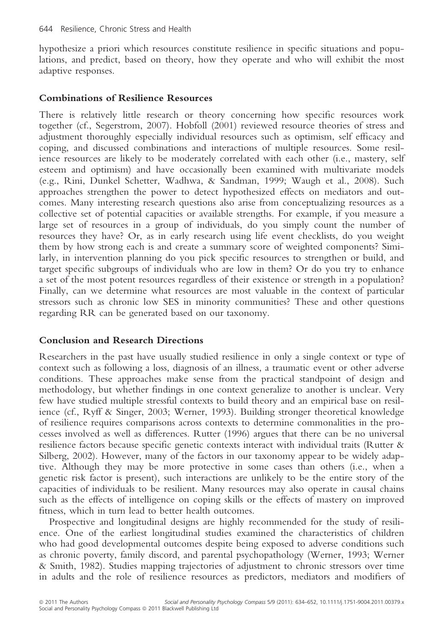hypothesize a priori which resources constitute resilience in specific situations and populations, and predict, based on theory, how they operate and who will exhibit the most adaptive responses.

### Combinations of Resilience Resources

There is relatively little research or theory concerning how specific resources work together (cf., Segerstrom, 2007). Hobfoll (2001) reviewed resource theories of stress and adjustment thoroughly especially individual resources such as optimism, self efficacy and coping, and discussed combinations and interactions of multiple resources. Some resilience resources are likely to be moderately correlated with each other (i.e., mastery, self esteem and optimism) and have occasionally been examined with multivariate models (e.g., Rini, Dunkel Schetter, Wadhwa, & Sandman, 1999; Waugh et al., 2008). Such approaches strengthen the power to detect hypothesized effects on mediators and outcomes. Many interesting research questions also arise from conceptualizing resources as a collective set of potential capacities or available strengths. For example, if you measure a large set of resources in a group of individuals, do you simply count the number of resources they have? Or, as in early research using life event checklists, do you weight them by how strong each is and create a summary score of weighted components? Similarly, in intervention planning do you pick specific resources to strengthen or build, and target specific subgroups of individuals who are low in them? Or do you try to enhance a set of the most potent resources regardless of their existence or strength in a population? Finally, can we determine what resources are most valuable in the context of particular stressors such as chronic low SES in minority communities? These and other questions regarding RR can be generated based on our taxonomy.

# Conclusion and Research Directions

Researchers in the past have usually studied resilience in only a single context or type of context such as following a loss, diagnosis of an illness, a traumatic event or other adverse conditions. These approaches make sense from the practical standpoint of design and methodology, but whether findings in one context generalize to another is unclear. Very few have studied multiple stressful contexts to build theory and an empirical base on resilience (cf., Ryff & Singer, 2003; Werner, 1993). Building stronger theoretical knowledge of resilience requires comparisons across contexts to determine commonalities in the processes involved as well as differences. Rutter (1996) argues that there can be no universal resilience factors because specific genetic contexts interact with individual traits (Rutter & Silberg, 2002). However, many of the factors in our taxonomy appear to be widely adaptive. Although they may be more protective in some cases than others (i.e., when a genetic risk factor is present), such interactions are unlikely to be the entire story of the capacities of individuals to be resilient. Many resources may also operate in causal chains such as the effects of intelligence on coping skills or the effects of mastery on improved fitness, which in turn lead to better health outcomes.

Prospective and longitudinal designs are highly recommended for the study of resilience. One of the earliest longitudinal studies examined the characteristics of children who had good developmental outcomes despite being exposed to adverse conditions such as chronic poverty, family discord, and parental psychopathology (Werner, 1993; Werner & Smith, 1982). Studies mapping trajectories of adjustment to chronic stressors over time in adults and the role of resilience resources as predictors, mediators and modifiers of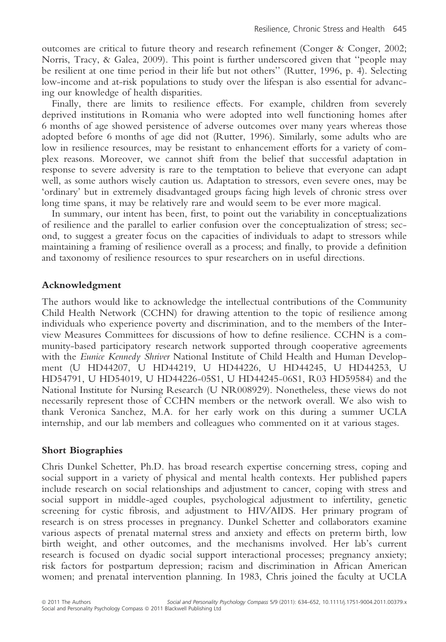outcomes are critical to future theory and research refinement (Conger & Conger, 2002; Norris, Tracy, & Galea, 2009). This point is further underscored given that ''people may be resilient at one time period in their life but not others'' (Rutter, 1996, p. 4). Selecting low-income and at-risk populations to study over the lifespan is also essential for advancing our knowledge of health disparities.

Finally, there are limits to resilience effects. For example, children from severely deprived institutions in Romania who were adopted into well functioning homes after 6 months of age showed persistence of adverse outcomes over many years whereas those adopted before 6 months of age did not (Rutter, 1996). Similarly, some adults who are low in resilience resources, may be resistant to enhancement efforts for a variety of complex reasons. Moreover, we cannot shift from the belief that successful adaptation in response to severe adversity is rare to the temptation to believe that everyone can adapt well, as some authors wisely caution us. Adaptation to stressors, even severe ones, may be 'ordinary' but in extremely disadvantaged groups facing high levels of chronic stress over long time spans, it may be relatively rare and would seem to be ever more magical.

In summary, our intent has been, first, to point out the variability in conceptualizations of resilience and the parallel to earlier confusion over the conceptualization of stress; second, to suggest a greater focus on the capacities of individuals to adapt to stressors while maintaining a framing of resilience overall as a process; and finally, to provide a definition and taxonomy of resilience resources to spur researchers on in useful directions.

### Acknowledgment

The authors would like to acknowledge the intellectual contributions of the Community Child Health Network (CCHN) for drawing attention to the topic of resilience among individuals who experience poverty and discrimination, and to the members of the Interview Measures Committees for discussions of how to define resilience. CCHN is a community-based participatory research network supported through cooperative agreements with the Eunice Kennedy Shriver National Institute of Child Health and Human Development (U HD44207, U HD44219, U HD44226, U HD44245, U HD44253, U HD54791, U HD54019, U HD44226-05S1, U HD44245-06S1, R03 HD59584) and the National Institute for Nursing Research (U NR008929). Nonetheless, these views do not necessarily represent those of CCHN members or the network overall. We also wish to thank Veronica Sanchez, M.A. for her early work on this during a summer UCLA internship, and our lab members and colleagues who commented on it at various stages.

# Short Biographies

Chris Dunkel Schetter, Ph.D. has broad research expertise concerning stress, coping and social support in a variety of physical and mental health contexts. Her published papers include research on social relationships and adjustment to cancer, coping with stress and social support in middle-aged couples, psychological adjustment to infertility, genetic screening for cystic fibrosis, and adjustment to HIV⁄AIDS. Her primary program of research is on stress processes in pregnancy. Dunkel Schetter and collaborators examine various aspects of prenatal maternal stress and anxiety and effects on preterm birth, low birth weight, and other outcomes, and the mechanisms involved. Her lab's current research is focused on dyadic social support interactional processes; pregnancy anxiety; risk factors for postpartum depression; racism and discrimination in African American women; and prenatal intervention planning. In 1983, Chris joined the faculty at UCLA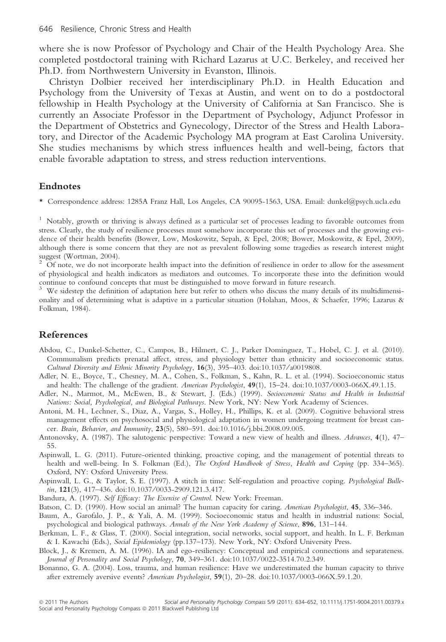where she is now Professor of Psychology and Chair of the Health Psychology Area. She completed postdoctoral training with Richard Lazarus at U.C. Berkeley, and received her Ph.D. from Northwestern University in Evanston, Illinois.

Christyn Dolbier received her interdisciplinary Ph.D. in Health Education and Psychology from the University of Texas at Austin, and went on to do a postdoctoral fellowship in Health Psychology at the University of California at San Francisco. She is currently an Associate Professor in the Department of Psychology, Adjunct Professor in the Department of Obstetrics and Gynecology, Director of the Stress and Health Laboratory, and Director of the Academic Psychology MA program at East Carolina University. She studies mechanisms by which stress influences health and well-being, factors that enable favorable adaptation to stress, and stress reduction interventions.

### Endnotes

\* Correspondence address: 1285A Franz Hall, Los Angeles, CA 90095-1563, USA. Email: dunkel@psych.ucla.edu

<sup>1</sup> Notably, growth or thriving is always defined as a particular set of processes leading to favorable outcomes from stress. Clearly, the study of resilience processes must somehow incorporate this set of processes and the growing evidence of their health benefits (Bower, Low, Moskowitz, Sepah, & Epel, 2008; Bower, Moskowitz, & Epel, 2009), although there is some concern that they are not as prevalent following some tragedies as research interest might suggest (Wortman, 2004).

<sup>2</sup> Of note, we do not incorporate health impact into the definition of resilience in order to allow for the assessment of physiological and health indicators as mediators and outcomes. To incorporate these into the definition would continue to confound concepts that must be distinguished to move forward in future research.

We sidestep the definition of adaptation here but refer to others who discuss the many details of its multidimensionality and of determining what is adaptive in a particular situation (Holahan, Moos, & Schaefer, 1996; Lazarus & Folkman, 1984).

### References

- Abdou, C., Dunkel-Schetter, C., Campos, B., Hilmert, C. J., Parker Dominguez, T., Hobel, C. J. et al. (2010). Communalism predicts prenatal affect, stress, and physiology better than ethnicity and socioeconomic status. Cultural Diversity and Ethnic Minority Psychology, 16(3), 395–403. doi:10.1037 ⁄a0019808.
- Adler, N. E., Boyce, T., Chesney, M. A., Cohen, S., Folkman, S., Kahn, R. L. et al. (1994). Socioeconomic status and health: The challenge of the gradient. American Psychologist, 49(1), 15–24. doi:10.1037/0003-066X.49.1.15.
- Adler, N., Marmot, M., McEwen, B., & Stewart, J. (Eds.) (1999). Socioeconomic Status and Health in Industrial Nations: Social, Psychological, and Biological Pathways. New York, NY: New York Academy of Sciences.
- Antoni, M. H., Lechner, S., Diaz, A., Vargas, S., Holley, H., Phillips, K. et al. (2009). Cognitive behavioral stress management effects on psychosocial and physiological adaptation in women undergoing treatment for breast cancer. Brain, Behavior, and Immunity, 23(5), 580-591. doi:10.1016/j.bbi.2008.09.005.
- Antonovsky, A. (1987). The salutogenic perspective: Toward a new view of health and illness. Advances, 4(1), 47– 55.
- Aspinwall, L. G. (2011). Future-oriented thinking, proactive coping, and the management of potential threats to health and well-being. In S. Folkman (Ed.), The Oxford Handbook of Stress, Health and Coping (pp. 334–365). Oxford, NY: Oxford University Press.
- Aspinwall, L. G., & Taylor, S. E. (1997). A stitch in time: Self-regulation and proactive coping. Psychological Bulletin, 121(3), 417-436. doi:10.1037/0033-2909.121.3.417.
- Bandura, A. (1997). Self Efficacy: The Exercise of Control. New York: Freeman.
- Batson, C. D. (1990). How social an animal? The human capacity for caring. American Psychologist, 45, 336–346.
- Baum, A., Garofalo, J. P., & Yali, A. M. (1999). Socioeconomic status and health in industrial nations: Social, psychological and biological pathways. Annals of the New York Academy of Science, 896, 131–144.
- Berkman, L. F., & Glass, T. (2000). Social integration, social networks, social support, and health. In L. F. Berkman & I. Kawachi (Eds.), Social Epidemiology (pp.137–173). New York, NY: Oxford University Press.
- Block, J., & Kremen, A. M. (1996). IA and ego-resiliency: Conceptual and empirical connections and separateness. Journal of Personality and Social Psychology, 70, 349-361. doi:10.1037/0022-3514.70.2.349.
- Bonanno, G. A. (2004). Loss, trauma, and human resilience: Have we underestimated the human capacity to thrive after extremely aversive events? American Psychologist, 59(1), 20–28. doi:10.1037 ⁄ 0003-066X.59.1.20.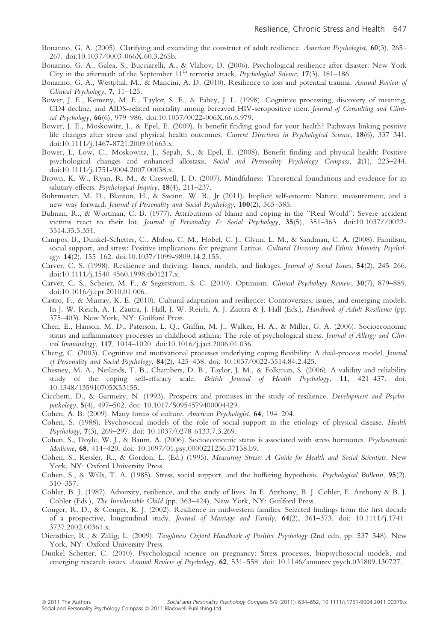- Bonanno, G. A. (2005). Clarifying and extending the construct of adult resilience. American Psychologist, 60(3), 265– 267. doi:10.1037 ⁄ 0003-066X.60.3.265b.
- Bonanno, G. A., Galea, S., Bucciarelli, A., & Vlahov, D. (2006). Psychological resilience after disaster: New York City in the aftermath of the September 11<sup>th</sup> terrorist attack. *Psychological Science*, 17(3), 181-186.
- Bonanno, G. A., Westphal, M., & Mancini, A. D. (2010). Resilience to loss and potential trauma. Annual Review of Clinical Psychology, 7, 11–125.
- Bower, J. E., Kemeny, M. E., Taylor, S. E., & Fahey, J. L. (1998). Cognitive processing, discovery of meaning, CD4 decline, and AIDS-related mortality among bereaved HIV-seropositive men. Journal of Consulting and Clinical Psychology, 66(6), 979-986. doi:10.1037/0022-006X.66.6.979.
- Bower, J. E., Moskowitz, J., & Epel, E. (2009). Is benefit finding good for your health? Pathways linking positive life changes after stress and physical health outcomes. Current Directions in Psychological Science, 18(6), 337–341. doi:10.1111/j.1467-8721.2009.01663.x.
- Bower, J., Low, C., Moskowitz, J., Sepah, S., & Epel, E. (2008). Benefit finding and physical health: Positive psychological changes and enhanced allostasis. Social and Personality Psychology Compass, 2(1), 223–244. doi:10.1111 ⁄ j.1751-9004.2007.00038.x.
- Brown, K. W., Ryan, R. M., & Creswell, J. D. (2007). Mindfulness: Theoretical foundations and evidence for its salutary effects. Psychological Inquiry, 18(4), 211-237.
- Buhrmester, M. D., Blanton, H., & Swann, W. B., Jr (2011). Implicit self-esteem: Nature, measurement, and a new way forward. Journal of Personality and Social Psychology, 100(2), 365–385.
- Bulman, R., & Wortman, C. B. (1977). Attributions of blame and coping in the ''Real World'': Severe accident victims react to their lot. Journal of Personality & Social Psychology, 35(5), 351-363. doi:10.1037//0022-3514.35.5.351.
- Campos, B., Dunkel-Schetter, C., Abdou, C. M., Hobel, C. J., Glynn, L. M., & Sandman, C. A. (2008). Familism, social support, and stress: Positive implications for pregnant Latinas. Cultural Diversity and Ethnic Minority Psychology, 14(2), 155–162. doi:10.1037 ⁄ 1099-9809.14.2.155.
- Carver, C. S. (1998). Resilience and thriving: Issues, models, and linkages. Journal of Social Issues, 54(2), 245–266. doi:10.1111/j.1540-4560.1998.tb01217.x.
- Carver, C. S., Scheier, M. F., & Segerstrom, S. C. (2010). Optimism. Clinical Psychology Review, 30(7), 879–889. doi:10.1016 ⁄ j.cpr.2010.01.006.
- Castro, F., & Murray, K. E. (2010). Cultural adaptation and resilience: Controversies, issues, and emerging models. In J. W. Reich, A. J. Zautra, J. Hall, J. W. Reich, A. J. Zautra & J. Hall (Eds.), Handbook of Adult Resilience (pp. 375–403). New York, NY: Guilford Press.
- Chen, E., Hanson, M. D., Paterson, L. Q., Griffin, M. J., Walker, H. A., & Miller, G. A. (2006). Socioeconomic status and inflammatory processes in childhood asthma: The role of psychological stress. Journal of Allergy and Clinical Immunology, 117, 1014–1020. doi:10.1016 ⁄ j.jaci.2006.01.036.
- Cheng, C. (2003). Cognitive and motivational processes underlying coping flexibility: A dual-process model. Journal of Personality and Social Psychology, 84(2), 425-438. doi: 10.1037/0022-3514.84.2.425.
- Chesney, M. A., Neilands, T. B., Chambers, D. B., Taylor, J. M., & Folkman, S. (2006). A validity and reliability study of the coping self-efficacy scale. British Journal of Health Psychology, 11, 421–437. doi: 10.1348 ⁄ 135910705X53155.
- Cicchetti, D., & Garmezy, N. (1993). Prospects and promises in the study of resilience. Development and Psychopathology, 5(4), 497-502. doi: 10.1017/S0954579400004429.
- Cohen, A. B. (2009). Many forms of culture. American Psychologist, 64, 194–204.
- Cohen, S. (1988). Psychosocial models of the role of social support in the etiology of physical disease. Health Psychology, 7(3), 269-297. doi: 10.1037/0278-6133.7.3.269.
- Cohen, S., Doyle, W. J., & Baum, A. (2006). Socioeconomic status is associated with stress hormones. Psychosomatic Medicine, 68, 414-420. doi: 10.1097/01.psy.0000221236.37158.b9.
- Cohen, S., Kessler, R., & Gordon, L. (Ed.) (1995). Measuring Stress: A Guide for Health and Social Scientists. New York, NY: Oxford University Press.
- Cohen, S., & Wills, T. A. (1985). Stress, social support, and the buffering hypothesis. Psychological Bulletin, 95(2), 310–357.
- Cohler, B. J. (1987). Adversity, resilience, and the study of lives. In E. Anthony, B. J. Cohler, E. Anthony & B. J. Cohler (Eds.), The Invulnerable Child (pp. 363–424). New York, NY: Guilford Press.
- Conger, R. D., & Conger, K. J. (2002). Resilience in midwestern families: Selected findings from the first decade of a prospective, longitudinal study. Journal of Marriage and Family, 64(2), 361–373. doi: 10.1111/j.1741-3737.2002.00361.x.
- Dienstbier, R., & Zillig, L. (2009). Toughness Oxford Handbook of Positive Psychology (2nd edn, pp. 537–548). New York, NY: Oxford University Press.
- Dunkel Schetter, C. (2010). Psychological science on pregnancy: Stress processes, biopsychosocial models, and emerging research issues. Annual Review of Psychology, 62, 531–558. doi: 10.1146/annurev.psych.031809.130727.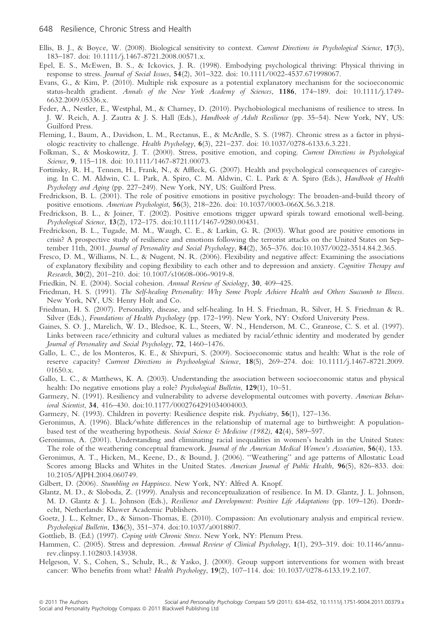- Ellis, B. J., & Boyce, W. (2008). Biological sensitivity to context. Current Directions in Psychological Science, 17(3), 183-187. doi: 10.1111/j.1467-8721.2008.00571.x.
- Epel, E. S., McEwen, B. S., & Ickovics, J. R. (1998). Embodying psychological thriving: Physical thriving in response to stress. Journal of Social Issues, 54(2), 301-322. doi: 10.1111/0022-4537.671998067.
- Evans, G., & Kim, P. (2010). Multiple risk exposure as a potential explanatory mechanism for the socioeconomic status-health gradient. Annals of the New York Academy of Sciences, 1186, 174–189. doi: 10.1111/j.1749-6632.2009.05336.x.
- Feder, A., Nestler, E., Westphal, M., & Charney, D. (2010). Psychobiological mechanisms of resilience to stress. In J. W. Reich, A. J. Zautra & J. S. Hall (Eds.), Handbook of Adult Resilience (pp. 35–54). New York, NY, US: Guilford Press.
- Fleming, I., Baum, A., Davidson, L. M., Rectanus, E., & McArdle, S. S. (1987). Chronic stress as a factor in physiologic reactivity to challenge. Health Psychology, 6(3), 221–237. doi: 10.1037 ⁄ 0278-6133.6.3.221.
- Folkman, S., & Moskowitz, J. T. (2000). Stress, positive emotion, and coping. Current Directions in Psychological Science, 9, 115-118. doi: 10.1111/1467-8721.00073.
- Fortinsky, R. H., Tennen, H., Frank, N., & Affleck, G. (2007). Health and psychological consequences of caregiving. In C. M. Aldwin, C. L. Park, A. Spiro, C. M. Aldwin, C. L. Park & A. Spiro (Eds.), Handbook of Health Psychology and Aging (pp. 227–249). New York, NY, US: Guilford Press.
- Fredrickson, B. L. (2001). The role of positive emotions in positive psychology: The broaden-and-build theory of positive emotions. American Psychologist, 56(3), 218–226. doi: 10.1037/0003-066X.56.3.218.
- Fredrickson, B. L., & Joiner, T. (2002). Positive emotions trigger upward spirals toward emotional well-being. Psychological Science, 13(2), 172–175. doi:10.1111 ⁄ 1467-9280.00431.
- Fredrickson, B. L., Tugade, M. M., Waugh, C. E., & Larkin, G. R. (2003). What good are positive emotions in crisis? A prospective study of resilience and emotions following the terrorist attacks on the United States on September 11th, 2001. Journal of Personality and Social Psychology, 84(2), 365-376. doi:10.1037/0022-3514.84.2.365.
- Fresco, D. M., Williams, N. L., & Nugent, N. R. (2006). Flexibility and negative affect: Examining the associations of explanatory flexibility and coping flexibility to each other and to depression and anxiety. Cognitive Therapy and Research, 30(2), 201–210. doi: 10.1007 ⁄ s10608-006-9019-8.
- Friedkin, N. E. (2004). Social cohesion. Annual Review of Sociology, 30, 409–425.
- Friedman, H. S. (1991). The Self-healing Personality: Why Some People Achieve Health and Others Succumb to Illness. New York, NY, US: Henry Holt and Co.
- Friedman, H. S. (2007). Personality, disease, and self-healing. In H. S. Friedman, R. Silver, H. S. Friedman & R. Silver (Eds.), Foundations of Health Psychology (pp. 172–199). New York, NY: Oxford University Press.
- Gaines, S. O. J., Marelich, W. D., Bledsoe, K. L., Steers, W. N., Henderson, M. C., Granrose, C. S. et al. (1997). Links between race/ethnicity and cultural values as mediated by racial/ethnic identity and moderated by gender Journal of Personality and Social Psychology, 72, 1460–1476.
- Gallo, L. C., de los Monteros, K. E., & Shivpuri, S. (2009). Socioeconomic status and health: What is the role of reserve capacity? Currrent Directions in Psychoological Science, 18(5), 269-274. doi: 10.1111/j.1467-8721.2009. 01650.x.
- Gallo, L. C., & Matthews, K. A. (2003). Understanding the association between socioeconomic status and physical health: Do negative emotions play a role? Psychological Bulletin, 129(1), 10-51.
- Garmezy, N. (1991). Resiliency and vulnerability to adverse developmental outcomes with poverty. American Behavioral Scientist, 34, 416–430. doi:10.1177 ⁄ 0002764291034004003.
- Garmezy, N. (1993). Children in poverty: Resilience despite risk. Psychiatry, 56(1), 127–136.
- Geronimus, A. (1996). Black ⁄ white differences in the relationship of maternal age to birthweight: A populationbased test of the weathering hypothesis. Social Science & Medicine (1982), 42(4), 589–597.
- Geronimus, A. (2001). Understanding and eliminating racial inequalities in women's health in the United States: The role of the weathering conceptual framework. Journal of the American Medical Women's Association, 56(4), 133.
- Geronimus, A. T., Hicken, M., Keene, D., & Bound, J. (2006). ''Weathering'' and age patterns of Allostatic Load Scores among Blacks and Whites in the United States. American Journal of Public Health, 96(5), 826–833. doi: 10.2105 ⁄AJPH.2004.060749.
- Gilbert, D. (2006). Stumbling on Happiness. New York, NY: Alfred A. Knopf.
- Glantz, M. D., & Sloboda, Z. (1999). Analysis and reconceptualization of resilience. In M. D. Glantz, J. L. Johnson, M. D. Glantz & J. L. Johnson (Eds.), Resilience and Development: Positive Life Adaptations (pp. 109–126). Dordrecht, Netherlands: Kluwer Academic Publishers.
- Goetz, J. L., Keltner, D., & Simon-Thomas, E. (2010). Compassion: An evolutionary analysis and empirical review. Psychological Bulletin, 136(3), 351-374. doi:10.1037/a0018807.
- Gottlieb, B. (Ed.) (1997). Coping with Chronic Stress. New York, NY: Plenum Press.
- Hammen, C. (2005). Stress and depression. Annual Review of Clinical Psychology, 1(1), 293-319. doi: 10.1146/annurev.clinpsy.1.102803.143938.
- Helgeson, V. S., Cohen, S., Schulz, R., & Yasko, J. (2000). Group support interventions for women with breast cancer: Who benefits from what? Health Psychology, 19(2), 107-114. doi: 10.1037/0278-6133.19.2.107.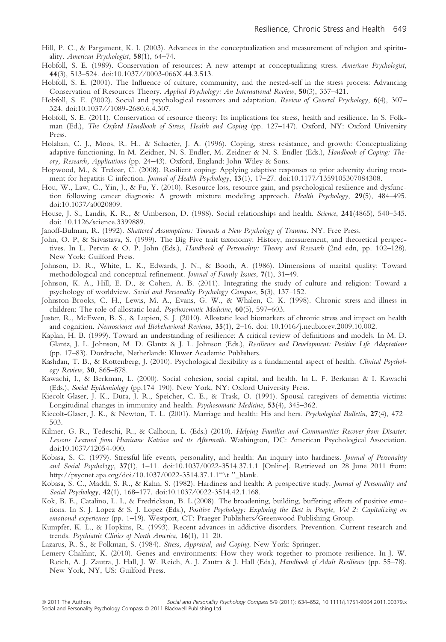- Hill, P. C., & Pargament, K. I. (2003). Advances in the conceptualization and measurement of religion and spirituality. American Psychologist, 58(1), 64–74.
- Hobfoll, S. E. (1989). Conservation of resources: A new attempt at conceptualizing stress. American Psychologist, 44(3), 513–524. doi:10.1037 ⁄ ⁄ 0003-066X.44.3.513.
- Hobfoll, S. E. (2001). The Influence of culture, community, and the nested-self in the stress process: Advancing Conservation of Resources Theory. Applied Psychology: An International Review, 50(3), 337–421.
- Hobfoll, S. E. (2002). Social and psychological resources and adaptation. Review of General Psychology, 6(4), 307– 324. doi:10.1037 ⁄ ⁄ 1089-2680.6.4.307.
- Hobfoll, S. E. (2011). Conservation of resource theory: Its implications for stress, health and resilience. In S. Folkman (Ed.), The Oxford Handbook of Stress, Health and Coping (pp. 127–147). Oxford, NY: Oxford University Press.
- Holahan, C. J., Moos, R. H., & Schaefer, J. A. (1996). Coping, stress resistance, and growth: Conceptualizing adaptive functioning. In M. Zeidner, N. S. Endler, M. Zeidner & N. S. Endler (Eds.), Handbook of Coping: Theory, Research, Applications (pp. 24–43). Oxford, England: John Wiley & Sons.
- Hopwood, M., & Treloar, C. (2008). Resilient coping: Applying adaptive responses to prior adversity during treatment for hepatitis C infection. Journal of Health Psychology, 13(1), 17-27. doi:10.1177/1359105307084308.
- Hou, W., Law, C., Yin, J., & Fu, Y. (2010). Resource loss, resource gain, and psychological resilience and dysfunction following cancer diagnosis: A growth mixture modeling approach. Health Psychology, 29(5), 484–495. doi:10.1037 ⁄a0020809.
- House, J. S., Landis, K. R., & Umberson, D. (1988). Social relationships and health. Science, 241(4865), 540–545. doi: 10.1126 ⁄ science.3399889.
- Janoff-Bulman, R. (1992). Shattered Assumptions: Towards a New Psychology of Trauma. NY: Free Press.
- John, O. P, & Srivastava, S. (1999). The Big Five trait taxonomy: History, measurement, and theoretical perspectives. In L. Pervin & O. P. John (Eds.), Handbook of Personality: Theory and Research (2nd edn, pp. 102–128). New York: Guilford Press.
- Johnson, D. R., White, L. K., Edwards, J. N., & Booth, A. (1986). Dimensions of marital quality: Toward methodological and conceptual refinement. Journal of Family Issues, 7(1), 31–49.
- Johnson, K. A., Hill, E. D., & Cohen, A. B. (2011). Integrating the study of culture and religion: Toward a psychology of worldview. Social and Personality Psychology Compass, 5(3), 137–152.
- Johnston-Brooks, C. H., Lewis, M. A., Evans, G. W., & Whalen, C. K. (1998). Chronic stress and illness in children: The role of allostatic load. Psychosomatic Medicine, 60(5), 597–603.
- Juster, R., McEwen, B. S., & Lupien, S. J. (2010). Allostatic load biomarkers of chronic stress and impact on health and cognition. Neuroscience and Biobehavioral Reviews, 35(1), 2-16. doi: 10.1016/j.neubiorev.2009.10.002.
- Kaplan, H. B. (1999). Toward an understanding of resilience: A critical review of definitions and models. In M. D. Glantz, J. L. Johnson, M. D. Glantz & J. L. Johnson (Eds.), Resilience and Development: Positive Life Adaptations (pp. 17–83). Dordrecht, Netherlands: Kluwer Academic Publishers.
- Kashdan, T. B., & Rottenberg, J. (2010). Psychological flexibility as a fundamental aspect of health. Clinical Psychology Review, 30, 865–878.
- Kawachi, I., & Berkman, L. (2000). Social cohesion, social capital, and health. In L. F. Berkman & I. Kawachi (Eds.), Social Epidemiology (pp.174–190). New York, NY: Oxford University Press.
- Kiecolt-Glaser, J. K., Dura, J. R., Speicher, C. E., & Trask, O. (1991). Spousal caregivers of dementia victims: Longitudinal changes in immunity and health. Psychosomatic Medicine, 53(4), 345–362.
- Kiecolt-Glaser, J. K., & Newton, T. L. (2001). Marriage and health: His and hers. Psychological Bulletin, 27(4), 472– 503.
- Kilmer, G.-R., Tedeschi, R., & Calhoun, L. (Eds.) (2010). Helping Families and Communities Recover from Disaster: Lessons Learned from Hurricane Katrina and its Aftermath. Washington, DC: American Psychological Association. doi:10.1037 ⁄ 12054-000.
- Kobasa, S. C. (1979). Stressful life events, personality, and health: An inquiry into hardiness. Journal of Personality and Social Psychology, 37(1), 1-11. doi:10.1037/0022-3514.37.1.1 [Online]. Retrieved on 28 June 2011 from: http://psycnet.apa.org/doi/10.1037/0022-3514.37.1.1''\t ''\_blank.
- Kobasa, S. C., Maddi, S. R., & Kahn, S. (1982). Hardiness and health: A prospective study. Journal of Personality and Social Psychology, 42(1), 168-177. doi:10.1037/0022-3514.42.1.168.
- Kok, B. E., Catalino, L. I., & Fredrickson, B. L.(2008). The broadening, building, buffering effects of positive emotions. In S. J. Lopez & S. J. Lopez (Eds.), Positive Psychology: Exploring the Best in People, Vol 2: Capitalizing on emotional experiences (pp. 1–19). Westport, CT: Praeger Publishers/Greenwood Publishing Group.
- Kumpfer, K. L., & Hopkins, R. (1993). Recent advances in addictive disorders. Prevention. Current research and trends. Psychiatric Clinics of North America, 16(1), 11–20.
- Lazarus, R. S., & Folkman, S. (1984). Stress, Appraisal, and Coping. New York: Springer.
- Lemery-Chalfant, K. (2010). Genes and environments: How they work together to promote resilience. In J. W. Reich, A. J. Zautra, J. Hall, J. W. Reich, A. J. Zautra & J. Hall (Eds.), Handbook of Adult Resilience (pp. 55–78). New York, NY, US: Guilford Press.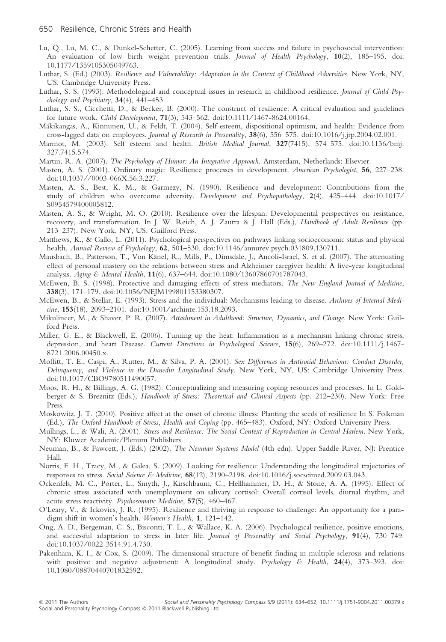- Lu, Q., Lu, M. C., & Dunkel-Schetter, C. (2005). Learning from success and failure in psychosocial intervention: An evaluation of low birth weight prevention trials. Journal of Health Psychology, 10(2), 185–195. doi: 10.1177 ⁄ 1359105305049763.
- Luthar, S. (Ed.) (2003). Resilience and Vulnerability: Adaptation in the Context of Childhood Adversities. New York, NY, US: Cambridge University Press.
- Luthar, S. S. (1993). Methodological and conceptual issues in research in childhood resilience. Journal of Child Psychology and Psychiatry,  $34(4)$ ,  $441-453$ .
- Luthar, S. S., Cicchetti, D., & Becker, B. (2000). The construct of resilience: A critical evaluation and guidelines for future work. Child Development, 71(3), 543–562. doi:10.1111 ⁄ 1467-8624.00164.
- Mäkikangas, A., Kinnunen, U., & Feldt, T. (2004). Self-esteem, dispositional optimism, and health: Evidence from cross-lagged data on employees. Journal of Research in Personality, 38(6), 556–575. doi:10.1016/j.jrp.2004.02.001.
- Marmot, M. (2003). Self esteem and health. British Medical Journal, 327(7415), 574–575. doi:10.1136/bmj. 327.7415.574.
- Martin, R. A. (2007). The Psychology of Humor: An Integrative Approach. Amsterdam, Netherlands: Elsevier.
- Masten, A. S. (2001). Ordinary magic: Resilience processes in development. American Psychologist, 56, 227–238. doi:10.1037 ⁄ ⁄ 0003-066X.56.3.227.
- Masten, A. S., Best, K. M., & Garmezy, N. (1990). Resilience and development: Contributions from the study of children who overcome adversity. Development and Psychopathology, 2(4), 425-444. doi:10.1017/ S0954579400005812.
- Masten, A. S., & Wright, M. O. (2010). Resilience over the lifespan: Developmental perspectives on resistance, recovery, and transformation. In J. W. Reich, A. J. Zautra & J. Hall (Eds.), Handbook of Adult Resilience (pp. 213–237). New York, NY, US: Guilford Press.
- Matthews, K., & Gallo, L. (2011). Psychological perspectives on pathways linking socioeconomic status and physical health. Annual Review of Psychology, 62, 501-530. doi:10.1146/annurev.psych.031809.130711.
- Mausbach, B., Patterson, T., Von Känel, R., Mills, P., Dimsdale, J., Ancoli-Israel, S. et al. (2007). The attenuating effect of personal mastery on the relations between stress and Alzheimer caregiver health: A five-year longitudinal analysis. Aging & Mental Health, 11(6), 637-644. doi:10.1080/13607860701787043.
- McEwen, B. S. (1998). Protective and damaging effects of stress mediators. The New England Journal of Medicine, 338(3), 171–179. doi:10.1056 ⁄ NEJM199801153380307.
- McEwen, B., & Stellar, E. (1993). Stress and the individual: Mechanisms leading to disease. Archives of Internal Medicine, 153(18), 2093-2101. doi:10.1001/archinte.153.18.2093.
- Mikulincer, M., & Shaver, P. R. (2007). Attachment in Adulthood: Structure, Dynamics, and Change. New York: Guilford Press.
- Miller, G. E., & Blackwell, E. (2006). Turning up the heat: Inflammation as a mechanism linking chronic stress, depression, and heart Disease. Current Directions in Psychological Science, 15(6), 269–272. doi:10.1111/j.1467-8721.2006.00450.x.
- Moffitt, T. E., Caspi, A., Rutter, M., & Silva, P. A. (2001). Sex Differences in Antisocial Behaviour: Conduct Disorder, Delinquency, and Violence in the Dunedin Longitudinal Study. New York, NY, US: Cambridge University Press. doi:10.1017 ⁄ CBO9780511490057.
- Moos, R. H., & Billings, A. G. (1982). Conceptualizing and measuring coping resources and processes. In L. Goldberger & S. Breznitz (Eds.), Handbook of Stress: Theoretical and Clinical Aspects (pp. 212–230). New York: Free Press.
- Moskowitz, J. T. (2010). Positive affect at the onset of chronic illness: Planting the seeds of resilience In S. Folkman (Ed.), The Oxford Handbook of Stress, Health and Coping (pp. 465–483). Oxford, NY: Oxford University Press.
- Mullings, L., & Wali, A. (2001). Stress and Resilience: The Social Context of Reproduction in Central Harlem. New York, NY: Kluwer Academic ⁄ Plenum Publishers.
- Neuman, B., & Fawcett, J. (Eds.) (2002). The Neuman Systems Model (4th edn). Upper Saddle River, NJ: Prentice Hall.
- Norris, F. H., Tracy, M., & Galea, S. (2009). Looking for resilience: Understanding the longitudinal trajectories of responses to stress. Social Science & Medicine, 68(12), 2190-2198. doi:10.1016/j.socscimed.2009.03.043.
- Ockenfels, M. C., Porter, L., Smyth, J., Kirschbaum, C., Hellhammer, D. H., & Stone, A. A. (1995). Effect of chronic stress associated with unemployment on salivary cortisol: Overall cortisol levels, diurnal rhythm, and acute stress reactivity. Psychosomatic Medicine, 57(5), 460–467.
- O'Leary, V., & Ickovics, J. R. (1995). Resilience and thriving in response to challenge: An opportunity for a paradigm shift in women's health. Women's Health, 1, 121–142.
- Ong, A. D., Bergeman, C. S., Bisconti, T. L., & Wallace, K. A. (2006). Psychological resilience, positive emotions, and successful adaptation to stress in later life. Journal of Personality and Social Psychology, 91(4), 730–749. doi:10.1037 ⁄ 0022-3514.91.4.730.
- Pakenham, K. I., & Cox, S. (2009). The dimensional structure of benefit finding in multiple sclerosis and relations with positive and negative adjustment: A longitudinal study. Psychology & Health, 24(4), 373-393. doi: 10.1080 ⁄ 08870440701832592.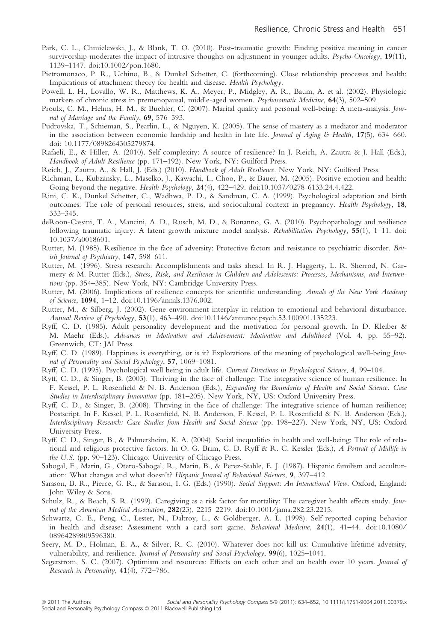- Park, C. L., Chmielewski, J., & Blank, T. O. (2010). Post-traumatic growth: Finding positive meaning in cancer survivorship moderates the impact of intrusive thoughts on adjustment in younger adults. Psycho-Oncology, 19(11), 1139–1147. doi:10.1002/pon.1680.
- Pietromonaco, P. R., Uchino, B., & Dunkel Schetter, C. (forthcoming). Close relationship processes and health: Implications of attachment theory for health and disease. Health Psychology.
- Powell, L. H., Lovallo, W. R., Matthews, K. A., Meyer, P., Midgley, A. R., Baum, A. et al. (2002). Physiologic markers of chronic stress in premenopausal, middle-aged women. Psychosomatic Medicine, 64(3), 502–509.
- Proulx, C. M., Helms, H. M., & Buehler, C. (2007). Marital quality and personal well-being: A meta-analysis. Journal of Marriage and the Family, 69, 576–593.
- Pudrovska, T., Schieman, S., Pearlin, L., & Nguyen, K. (2005). The sense of mastery as a mediator and moderator in the association between economic hardship and health in late life. Journal of Aging & Health,  $17(5)$ , 634–660. doi: 10.1177 ⁄ 0898264305279874.
- Rafaeli, E., & Hiller, A. (2010). Self-complexity: A source of resilience? In J. Reich, A. Zautra & J. Hall (Eds.), Handbook of Adult Resilience (pp. 171–192). New York, NY: Guilford Press.
- Reich, J., Zautra, A., & Hall, J. (Eds.) (2010). Handbook of Adult Resilience. New York, NY: Guilford Press.
- Richman, L., Kubzansky, L., Maselko, J., Kawachi, I., Choo, P., & Bauer, M. (2005). Positive emotion and health: Going beyond the negative. Health Psychology, 24(4), 422-429. doi:10.1037/0278-6133.24.4.422.
- Rini, C. K., Dunkel Schetter, C., Wadhwa, P. D., & Sandman, C. A. (1999). Psychological adaptation and birth outcomes: The role of personal resources, stress, and sociocultural context in pregnancy. Health Psychology, 18, 333–345.
- deRoon-Cassini, T. A., Mancini, A. D., Rusch, M. D., & Bonanno, G. A. (2010). Psychopathology and resilience following traumatic injury: A latent growth mixture model analysis. Rehabilitation Psychology, 55(1), 1–11. doi: 10.1037 ⁄a0018601.
- Rutter, M. (1985). Resilience in the face of adversity: Protective factors and resistance to psychiatric disorder. British Journal of Psychiatry, 147, 598–611.
- Rutter, M. (1996). Stress research: Accomplishments and tasks ahead. In R. J. Haggerty, L. R. Sherrod, N. Garmezy & M. Rutter (Eds.), Stress, Risk, and Resilience in Children and Adolescents: Processes, Mechanisms, and Interventions (pp. 354–385). New York, NY: Cambridge University Press.
- Rutter, M. (2006). Implications of resilience concepts for scientific understanding. Annals of the New York Academy of Science, 1094, 1–12. doi:10.1196 ⁄annals.1376.002.
- Rutter, M., & Silberg, J. (2002). Gene-environment interplay in relation to emotional and behavioral disturbance. Annual Review of Psychology, 53(1), 463–490. doi:10.1146 ⁄annurev.psych.53.100901.135223.
- Ryff, C. D. (1985). Adult personality development and the motivation for personal growth. In D. Kleiber & M. Maehr (Eds.), Advances in Motivation and Achievement: Motivation and Adulthood (Vol. 4, pp. 55–92). Greenwich, CT: JAI Press.
- Ryff, C. D. (1989). Happiness is everything, or is it? Explorations of the meaning of psychological well-being Journal of Personality and Social Psychology, 57, 1069–1081.
- Ryff, C. D. (1995). Psychological well being in adult life. Current Directions in Psychological Science, 4, 99–104.
- Ryff, C. D., & Singer, B. (2003). Thriving in the face of challenge: The integrative science of human resilience. In F. Kessel, P. L. Rosenfield & N. B. Anderson (Eds.), Expanding the Boundaries of Health and Social Science: Case Studies in Interdisciplinary Innovation (pp. 181–205). New York, NY, US: Oxford University Press.
- Ryff, C. D., & Singer, B. (2008). Thriving in the face of challenge: The integrative science of human resilience; Postscript. In F. Kessel, P. L. Rosenfield, N. B. Anderson, F. Kessel, P. L. Rosenfield & N. B. Anderson (Eds.), Interdisciplinary Research: Case Studies from Health and Social Science (pp. 198–227). New York, NY, US: Oxford University Press.
- Ryff, C. D., Singer, B., & Palmersheim, K. A. (2004). Social inequalities in health and well-being: The role of relational and religious protective factors. In O. G. Brim, C. D. Ryff & R. C. Kessler (Eds.), A Portrait of Midlife in the U.S. (pp. 90–123). Chicago: University of Chicago Press.
- Sabogal, F., Marin, G., Otero-Sabogal, R., Marin, B., & Perez-Stable, E. J. (1987). Hispanic familism and acculturation: What changes and what doesn't? Hispanic Journal of Behavioral Sciences, 9, 397–412.
- Sarason, B. R., Pierce, G. R., & Sarason, I. G. (Eds.) (1990). Social Support: An Interactional View. Oxford, England: John Wiley & Sons.
- Schulz, R., & Beach, S. R. (1999). Caregiving as a risk factor for mortality: The caregiver health effects study. Journal of the American Medical Association, 282(23), 2215-2219. doi:10.1001/jama.282.23.2215.
- Schwartz, C. E., Peng, C., Lester, N., Daltroy, L., & Goldberger, A. L. (1998). Self-reported coping behavior in health and disease: Assessment with a card sort game. Behavioral Medicine, 24(1), 41-44. doi:10.1080/ 08964289809596380.
- Seery, M. D., Holman, E. A., & Silver, R. C. (2010). Whatever does not kill us: Cumulative lifetime adversity, vulnerability, and resilience. Journal of Personality and Social Psychology, 99(6), 1025–1041.
- Segerstrom, S. C. (2007). Optimism and resources: Effects on each other and on health over 10 years. Journal of Research in Personality, 41(4), 772–786.